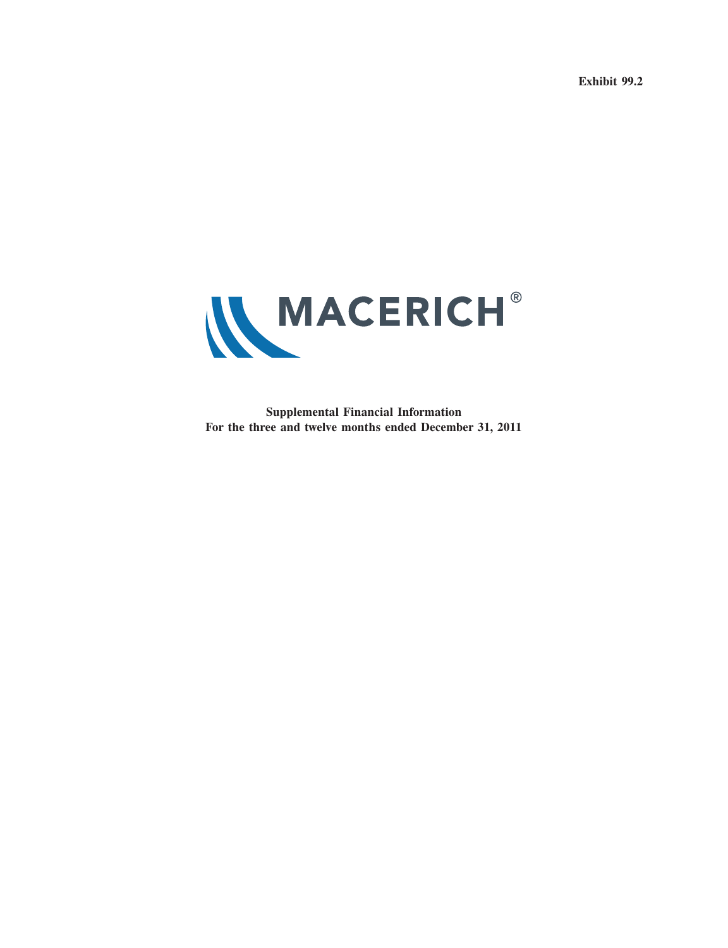**Exhibit 99.2**



**Supplemental Financial Information For the three and twelve months ended December 31, 2011**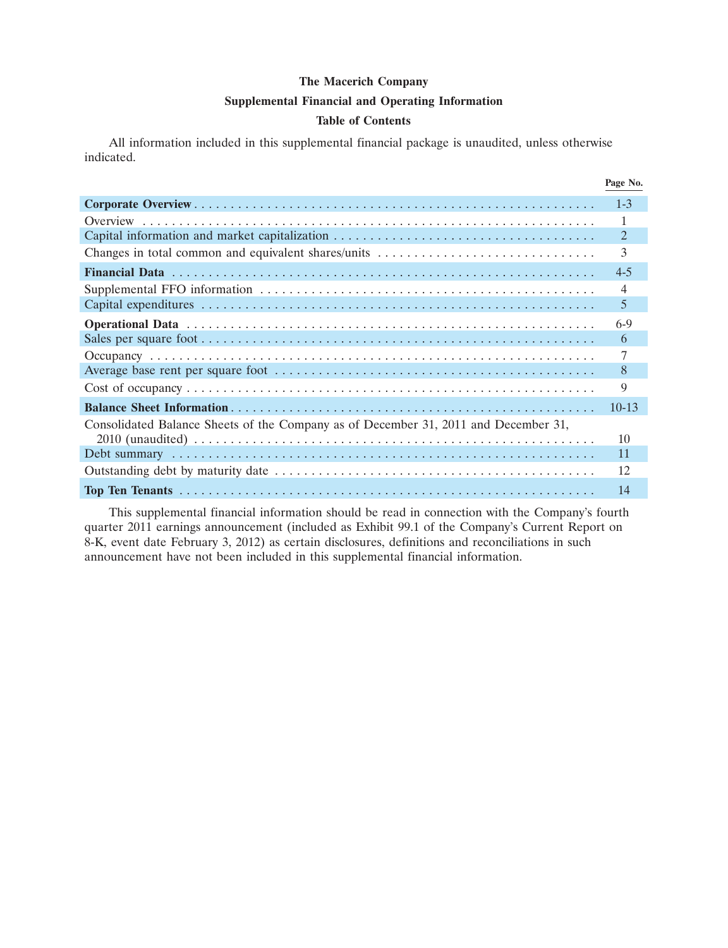### **Supplemental Financial and Operating Information**

### **Table of Contents**

All information included in this supplemental financial package is unaudited, unless otherwise indicated.

|                                                                                     | Page No.  |
|-------------------------------------------------------------------------------------|-----------|
|                                                                                     | $1 - 3$   |
|                                                                                     |           |
|                                                                                     | 2         |
|                                                                                     | 3         |
|                                                                                     | $4 - 5$   |
|                                                                                     | 4         |
|                                                                                     | 5         |
|                                                                                     | $6-9$     |
|                                                                                     | 6         |
|                                                                                     |           |
|                                                                                     | 8         |
|                                                                                     | 9         |
|                                                                                     | $10 - 13$ |
| Consolidated Balance Sheets of the Company as of December 31, 2011 and December 31, |           |
|                                                                                     | 10        |
|                                                                                     | 11        |
|                                                                                     | 12        |
|                                                                                     | 14        |

This supplemental financial information should be read in connection with the Company's fourth quarter 2011 earnings announcement (included as Exhibit 99.1 of the Company's Current Report on 8-K, event date February 3, 2012) as certain disclosures, definitions and reconciliations in such announcement have not been included in this supplemental financial information.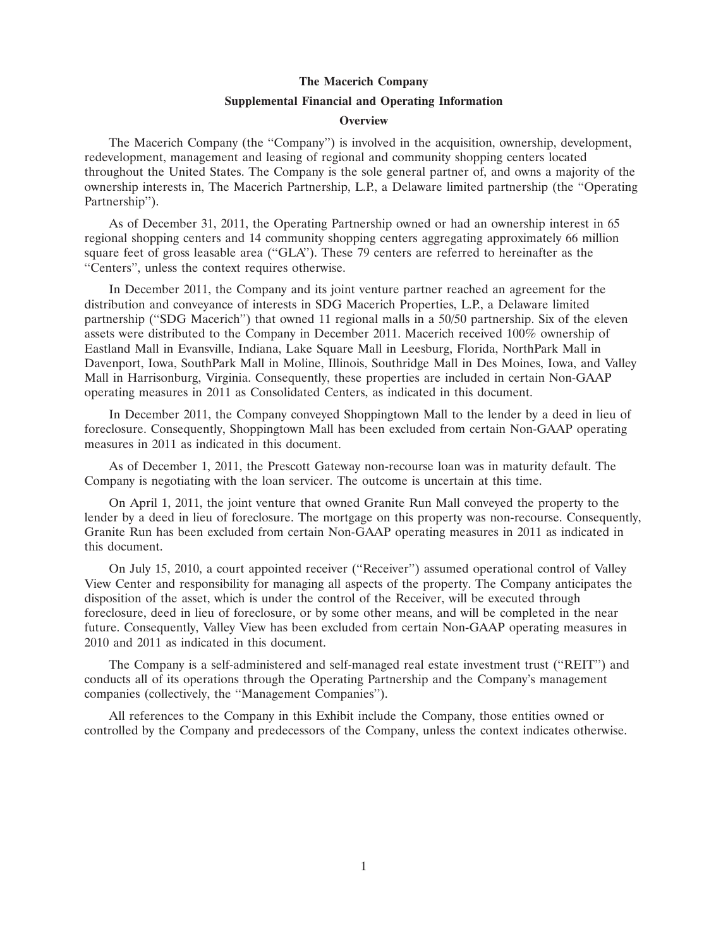#### **Supplemental Financial and Operating Information**

#### **Overview**

The Macerich Company (the ''Company'') is involved in the acquisition, ownership, development, redevelopment, management and leasing of regional and community shopping centers located throughout the United States. The Company is the sole general partner of, and owns a majority of the ownership interests in, The Macerich Partnership, L.P., a Delaware limited partnership (the ''Operating Partnership'').

As of December 31, 2011, the Operating Partnership owned or had an ownership interest in 65 regional shopping centers and 14 community shopping centers aggregating approximately 66 million square feet of gross leasable area (''GLA''). These 79 centers are referred to hereinafter as the ''Centers'', unless the context requires otherwise.

In December 2011, the Company and its joint venture partner reached an agreement for the distribution and conveyance of interests in SDG Macerich Properties, L.P., a Delaware limited partnership (''SDG Macerich'') that owned 11 regional malls in a 50/50 partnership. Six of the eleven assets were distributed to the Company in December 2011. Macerich received 100% ownership of Eastland Mall in Evansville, Indiana, Lake Square Mall in Leesburg, Florida, NorthPark Mall in Davenport, Iowa, SouthPark Mall in Moline, Illinois, Southridge Mall in Des Moines, Iowa, and Valley Mall in Harrisonburg, Virginia. Consequently, these properties are included in certain Non-GAAP operating measures in 2011 as Consolidated Centers, as indicated in this document.

In December 2011, the Company conveyed Shoppingtown Mall to the lender by a deed in lieu of foreclosure. Consequently, Shoppingtown Mall has been excluded from certain Non-GAAP operating measures in 2011 as indicated in this document.

As of December 1, 2011, the Prescott Gateway non-recourse loan was in maturity default. The Company is negotiating with the loan servicer. The outcome is uncertain at this time.

On April 1, 2011, the joint venture that owned Granite Run Mall conveyed the property to the lender by a deed in lieu of foreclosure. The mortgage on this property was non-recourse. Consequently, Granite Run has been excluded from certain Non-GAAP operating measures in 2011 as indicated in this document.

On July 15, 2010, a court appointed receiver (''Receiver'') assumed operational control of Valley View Center and responsibility for managing all aspects of the property. The Company anticipates the disposition of the asset, which is under the control of the Receiver, will be executed through foreclosure, deed in lieu of foreclosure, or by some other means, and will be completed in the near future. Consequently, Valley View has been excluded from certain Non-GAAP operating measures in 2010 and 2011 as indicated in this document.

The Company is a self-administered and self-managed real estate investment trust (''REIT'') and conducts all of its operations through the Operating Partnership and the Company's management companies (collectively, the ''Management Companies'').

All references to the Company in this Exhibit include the Company, those entities owned or controlled by the Company and predecessors of the Company, unless the context indicates otherwise.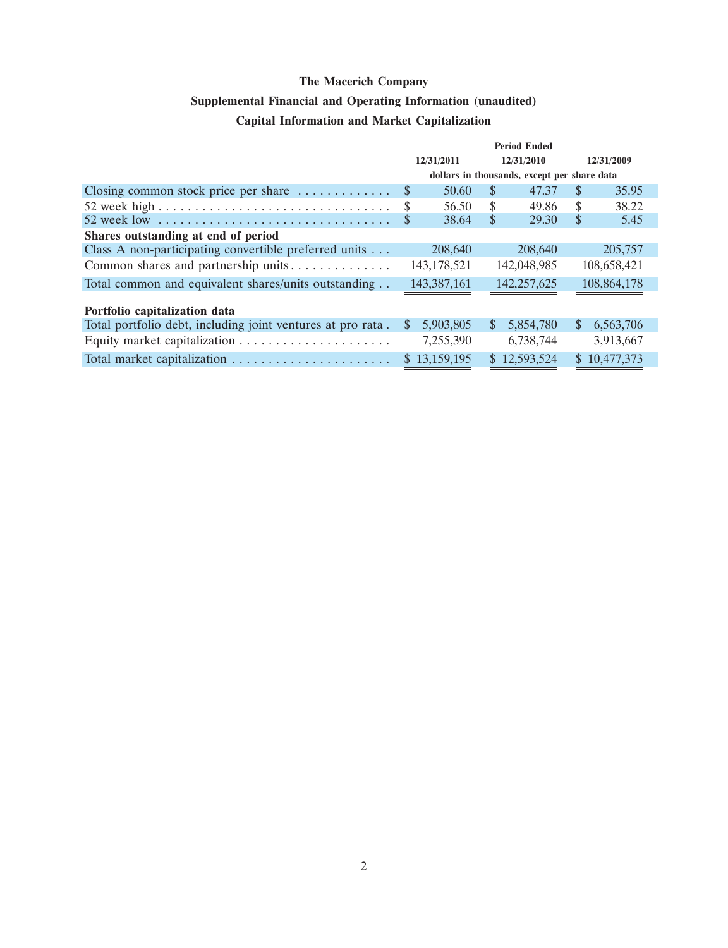## **Supplemental Financial and Operating Information (unaudited) Capital Information and Market Capitalization**

|                                                             | <b>Period Ended</b>   |    |                                             |               |             |
|-------------------------------------------------------------|-----------------------|----|---------------------------------------------|---------------|-------------|
|                                                             | 12/31/2011            |    | 12/31/2010                                  |               | 12/31/2009  |
|                                                             |                       |    | dollars in thousands, except per share data |               |             |
| Closing common stock price per share $\dots \dots \dots$    | 50.60<br>$\mathbb{S}$ | S  | 47.37                                       | \$.           | 35.95       |
|                                                             | \$<br>56.50           | \$ | 49.86                                       | \$            | 38.22       |
|                                                             | 38.64<br>\$           | S  | 29.30                                       | \$            | 5.45        |
| Shares outstanding at end of period                         |                       |    |                                             |               |             |
| Class A non-participating convertible preferred units       | 208,640               |    | 208,640                                     |               | 205,757     |
| Common shares and partnership units                         | 143, 178, 521         |    | 142,048,985                                 |               | 108,658,421 |
| Total common and equivalent shares/units outstanding        | 143,387,161           |    | 142,257,625                                 |               | 108,864,178 |
| Portfolio capitalization data                               |                       |    |                                             |               |             |
| Total portfolio debt, including joint ventures at pro rata. | 5,903,805<br>S.       | S  | 5,854,780                                   | <sup>\$</sup> | 6,563,706   |
|                                                             | 7,255,390             |    | 6,738,744                                   |               | 3,913,667   |
|                                                             | \$13,159,195          |    | \$12,593,524                                | S.            | 10,477,373  |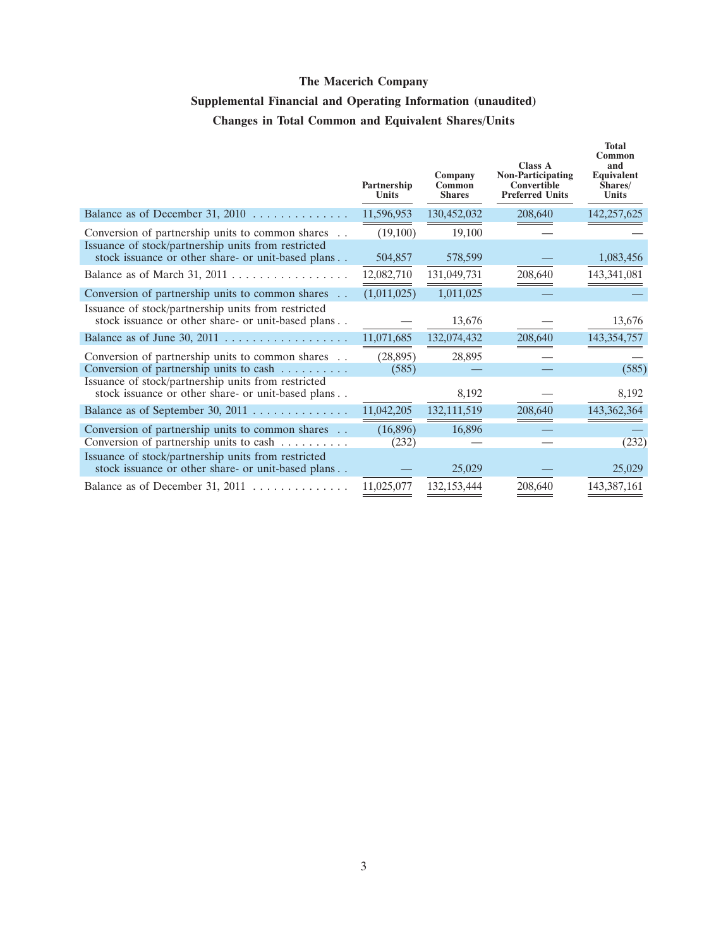# **Supplemental Financial and Operating Information (unaudited) Changes in Total Common and Equivalent Shares/Units**

|                                                                                                           | Partnership<br>Units | Company<br>Common<br><b>Shares</b> | <b>Class A</b><br><b>Non-Participating</b><br>Convertible<br><b>Preferred Units</b> | <b>Total</b><br>Common<br>and<br><b>Equivalent</b><br>Shares/<br>Units |
|-----------------------------------------------------------------------------------------------------------|----------------------|------------------------------------|-------------------------------------------------------------------------------------|------------------------------------------------------------------------|
| Balance as of December 31, 2010                                                                           | 11,596,953           | 130,452,032                        | 208,640                                                                             | 142,257,625                                                            |
| Conversion of partnership units to common shares                                                          | (19,100)             | 19,100                             |                                                                                     |                                                                        |
| Issuance of stock/partnership units from restricted<br>stock issuance or other share- or unit-based plans | 504,857              | 578,599                            |                                                                                     | 1,083,456                                                              |
|                                                                                                           | 12,082,710           | 131,049,731                        | 208,640                                                                             | 143,341,081                                                            |
| Conversion of partnership units to common shares                                                          | (1,011,025)          | 1,011,025                          |                                                                                     |                                                                        |
| Issuance of stock/partnership units from restricted<br>stock issuance or other share- or unit-based plans |                      | 13,676                             |                                                                                     | 13,676                                                                 |
| Balance as of June 30, 2011 $\ldots$                                                                      | 11,071,685           | 132,074,432                        | 208,640                                                                             | 143,354,757                                                            |
| Conversion of partnership units to common shares                                                          | (28, 895)            | 28,895                             |                                                                                     |                                                                        |
| Conversion of partnership units to cash                                                                   | (585)                |                                    |                                                                                     | (585)                                                                  |
| Issuance of stock/partnership units from restricted<br>stock issuance or other share- or unit-based plans |                      | 8,192                              |                                                                                     | 8,192                                                                  |
| Balance as of September 30, 2011                                                                          | 11,042,205           | 132,111,519                        | 208,640                                                                             | 143,362,364                                                            |
| Conversion of partnership units to common shares<br>Conversion of partnership units to cash               | (16,896)<br>(232)    | 16,896                             |                                                                                     | (232)                                                                  |
| Issuance of stock/partnership units from restricted<br>stock issuance or other share- or unit-based plans |                      | 25,029                             |                                                                                     | 25,029                                                                 |
| Balance as of December 31, 2011                                                                           | 11,025,077           | 132, 153, 444                      | 208,640                                                                             | 143,387,161                                                            |
|                                                                                                           |                      |                                    |                                                                                     |                                                                        |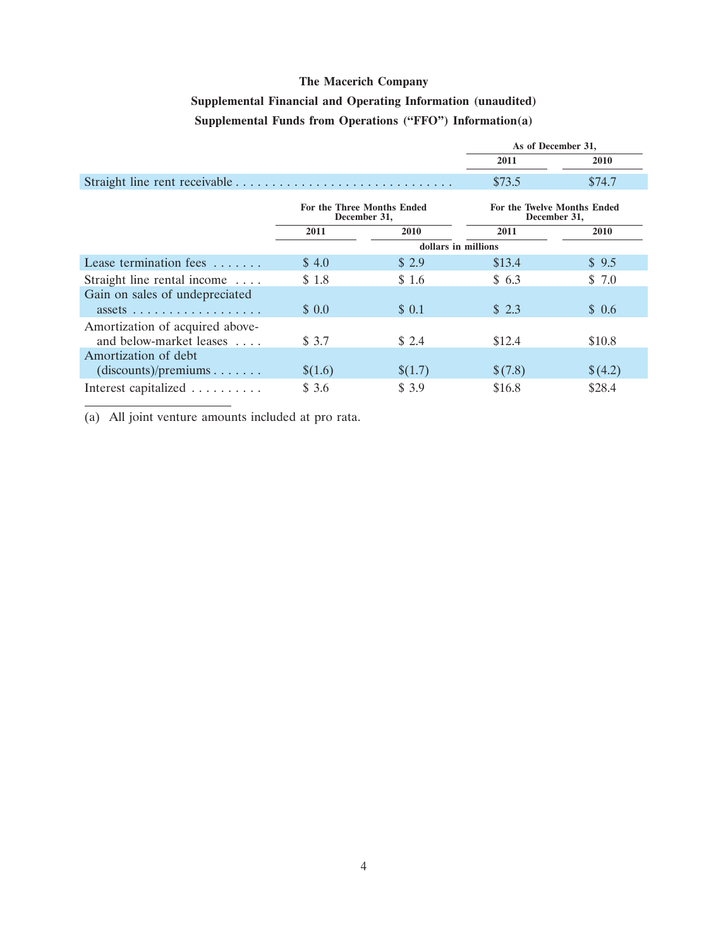## **Supplemental Financial and Operating Information (unaudited) Supplemental Funds from Operations (''FFO'') Information(a)**

|                                                                               |         |                                            | As of December 31,                                 |             |
|-------------------------------------------------------------------------------|---------|--------------------------------------------|----------------------------------------------------|-------------|
|                                                                               |         |                                            | 2011                                               | <b>2010</b> |
|                                                                               |         |                                            | \$73.5                                             | \$74.7      |
|                                                                               |         | For the Three Months Ended<br>December 31, | <b>For the Twelve Months Ended</b><br>December 31, |             |
|                                                                               | 2011    | 2010                                       | 2011                                               | 2010        |
|                                                                               |         | dollars in millions                        |                                                    |             |
| Lease termination fees                                                        | \$4.0   | \$2.9                                      | \$13.4                                             | \$9.5       |
| Straight line rental income                                                   | \$1.8   | \$1.6                                      | \$6.3                                              | \$7.0       |
| Gain on sales of undepreciated<br>$assets \ldots \ldots \ldots \ldots \ldots$ | \$0.0   | \$0.1                                      | $\text{\$}$ 2.3                                    | \$0.6       |
|                                                                               |         |                                            |                                                    |             |
| Amortization of acquired above-<br>and below-market leases                    | \$3.7   | \$2.4                                      | \$12.4                                             | \$10.8      |
| Amortization of debt                                                          |         |                                            |                                                    |             |
| $(discounts)/preminus$                                                        | \$(1.6) | \$(1.7)                                    | \$(7.8)                                            | \$(4.2)     |
| Interest capitalized                                                          | \$3.6   | \$ 3.9                                     | \$16.8                                             | \$28.4      |

(a) All joint venture amounts included at pro rata.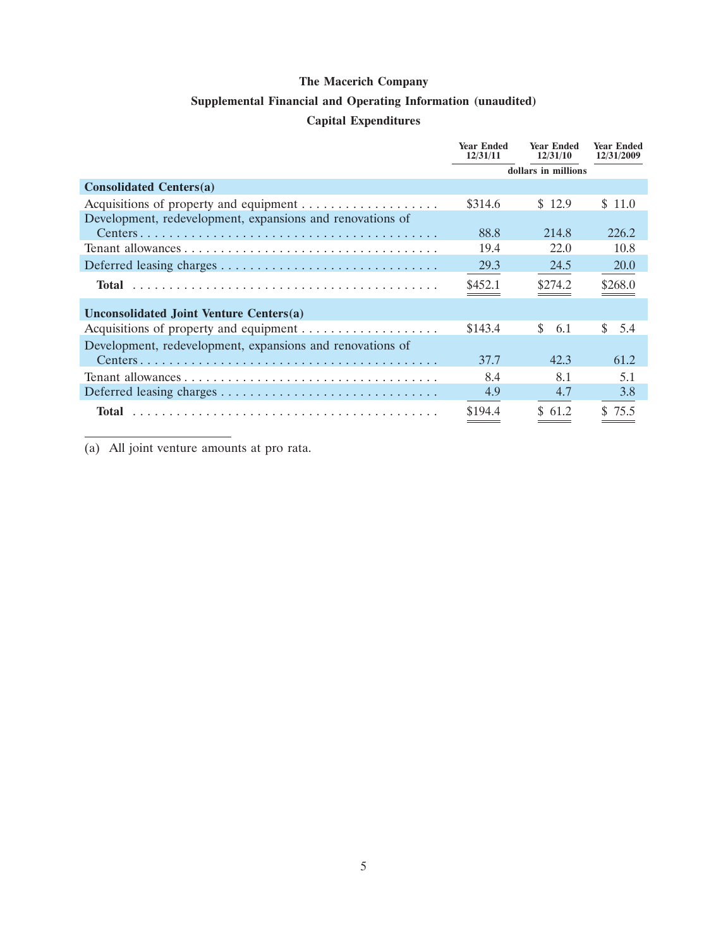### **Supplemental Financial and Operating Information (unaudited)**

## **Capital Expenditures**

|                                                           | <b>Year Ended</b><br>12/31/11 | <b>Year Ended</b><br>12/31/10 | <b>Year Ended</b><br>12/31/2009 |
|-----------------------------------------------------------|-------------------------------|-------------------------------|---------------------------------|
|                                                           |                               | dollars in millions           |                                 |
| <b>Consolidated Centers(a)</b>                            |                               |                               |                                 |
|                                                           | \$314.6                       | \$12.9                        | \$ 11.0                         |
| Development, redevelopment, expansions and renovations of |                               |                               |                                 |
|                                                           | 88.8                          | 214.8                         | 226.2                           |
|                                                           | 19.4                          | 22.0                          | 10.8                            |
|                                                           | 29.3                          | 24.5                          | <b>20.0</b>                     |
| Total                                                     | \$452.1                       | \$274.2                       | \$268.0                         |
| Unconsolidated Joint Venture Centers(a)                   |                               |                               |                                 |
|                                                           | \$143.4                       | <sup>\$</sup><br>6.1          | \$.<br>5.4                      |
| Development, redevelopment, expansions and renovations of |                               |                               |                                 |
|                                                           | 37.7                          | 42.3                          | 61.2                            |
|                                                           | 8.4                           | 8.1                           | 5.1                             |
|                                                           | 4.9                           | 4.7                           | 3.8                             |
| Total                                                     | \$194.4                       | \$61.2                        | \$75.5                          |

(a) All joint venture amounts at pro rata.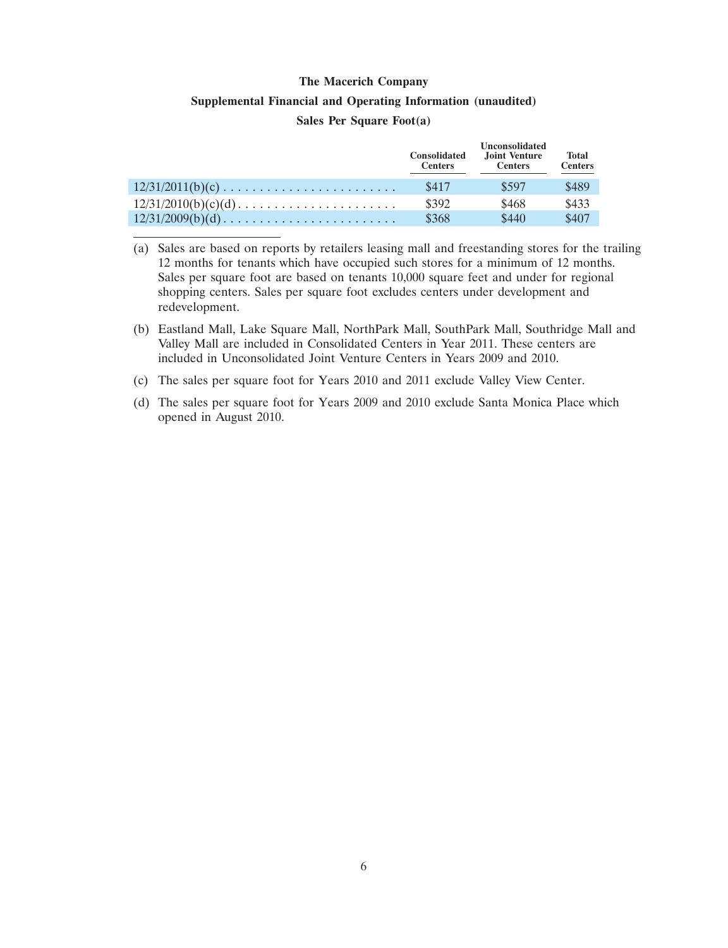### **Supplemental Financial and Operating Information (unaudited)**

### **Sales Per Square Foot(a)**

|                    | <b>Consolidated</b><br><b>Centers</b> | <b>Unconsolidated</b><br>Joint Venture<br><b>Centers</b> | <b>Total</b><br><b>Centers</b> |
|--------------------|---------------------------------------|----------------------------------------------------------|--------------------------------|
| $12/31/2011(b)(c)$ | \$417                                 | \$597                                                    | \$489                          |
|                    | \$392                                 | \$468                                                    | \$433                          |
| $12/31/2009(b)(d)$ | \$368                                 | \$440                                                    | \$407                          |

(a) Sales are based on reports by retailers leasing mall and freestanding stores for the trailing 12 months for tenants which have occupied such stores for a minimum of 12 months. Sales per square foot are based on tenants 10,000 square feet and under for regional shopping centers. Sales per square foot excludes centers under development and redevelopment.

- (b) Eastland Mall, Lake Square Mall, NorthPark Mall, SouthPark Mall, Southridge Mall and Valley Mall are included in Consolidated Centers in Year 2011. These centers are included in Unconsolidated Joint Venture Centers in Years 2009 and 2010.
- (c) The sales per square foot for Years 2010 and 2011 exclude Valley View Center.
- (d) The sales per square foot for Years 2009 and 2010 exclude Santa Monica Place which opened in August 2010.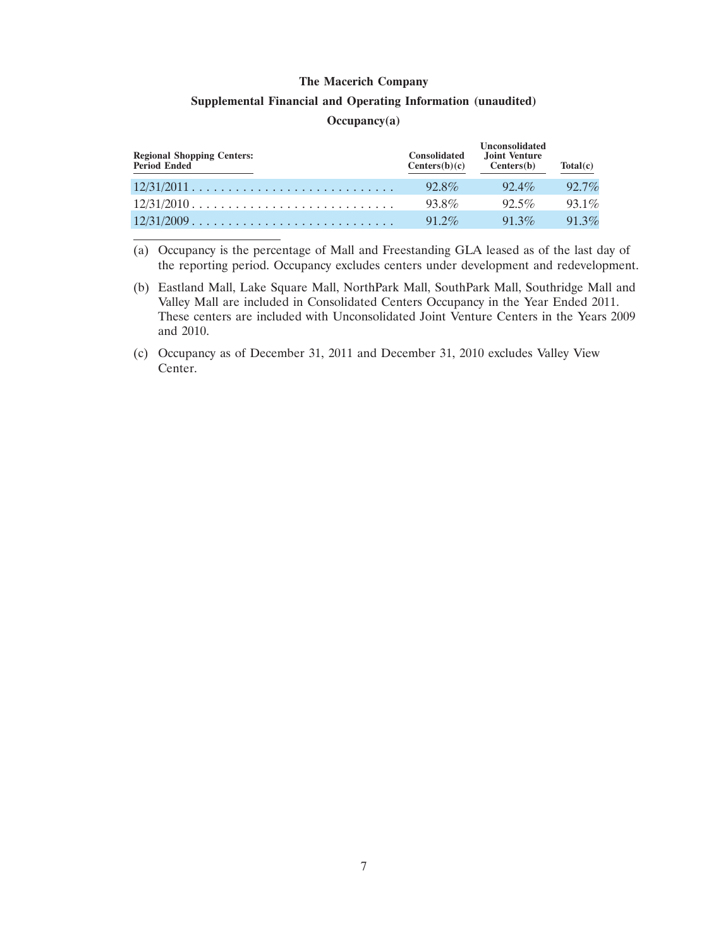#### **Supplemental Financial and Operating Information (unaudited)**

### **Occupancy(a)**

| <b>Regional Shopping Centers:</b><br>Period Ended                    | <b>Consolidated</b><br>Centers(b)(c) | <b>Unconsolidated</b><br>Joint Venture<br>Centers(b) | Total(c) |
|----------------------------------------------------------------------|--------------------------------------|------------------------------------------------------|----------|
| $12/31/2011$                                                         | $92.8\%$                             | $92.4\%$                                             | $92.7\%$ |
| $12/31/2010$                                                         | 93.8%                                | $92.5\%$                                             | $93.1\%$ |
| $12/31/2009 \ldots \ldots \ldots \ldots \ldots \ldots \ldots \ldots$ | $91.2\%$                             | $91.3\%$                                             | 91.3%    |

(a) Occupancy is the percentage of Mall and Freestanding GLA leased as of the last day of the reporting period. Occupancy excludes centers under development and redevelopment.

- (b) Eastland Mall, Lake Square Mall, NorthPark Mall, SouthPark Mall, Southridge Mall and Valley Mall are included in Consolidated Centers Occupancy in the Year Ended 2011. These centers are included with Unconsolidated Joint Venture Centers in the Years 2009 and 2010.
- (c) Occupancy as of December 31, 2011 and December 31, 2010 excludes Valley View Center.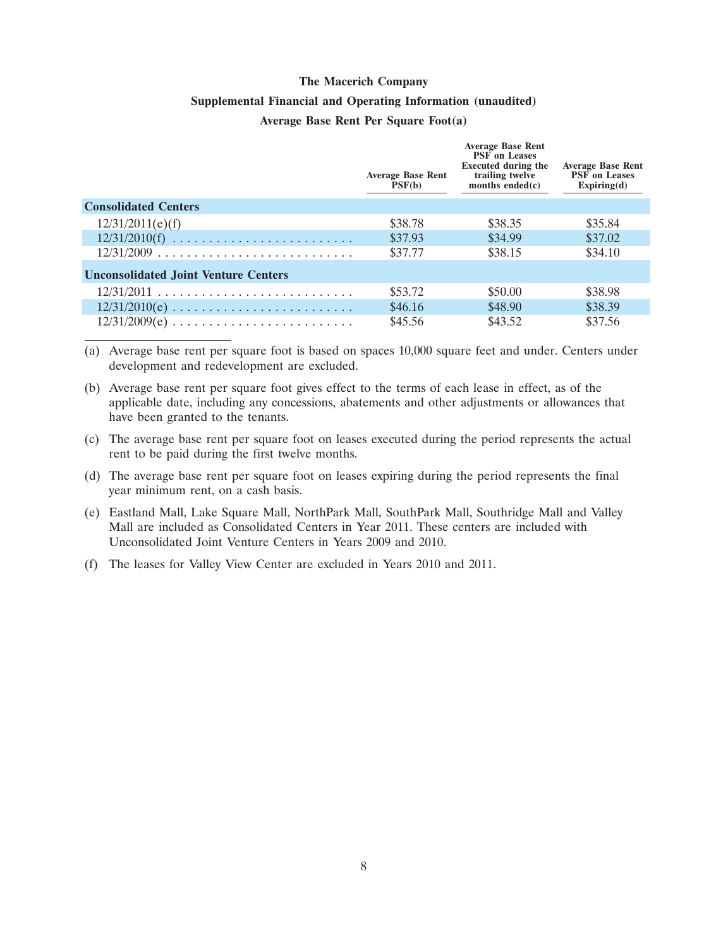### **Supplemental Financial and Operating Information (unaudited)**

### **Average Base Rent Per Square Foot(a)**

|                                             | <b>Average Base Rent</b><br>PSF(b) | <b>Average Base Rent</b><br><b>PSF</b> on Leases<br><b>Executed during the</b><br>trailing twelve<br>months ended $(c)$ | <b>Average Base Rent</b><br><b>PSF</b> on Leases<br>Expiring(d) |
|---------------------------------------------|------------------------------------|-------------------------------------------------------------------------------------------------------------------------|-----------------------------------------------------------------|
| <b>Consolidated Centers</b>                 |                                    |                                                                                                                         |                                                                 |
| 12/31/2011(e)(f)                            | \$38.78                            | \$38.35                                                                                                                 | \$35.84                                                         |
| $12/31/2010(f)$                             | \$37.93                            | \$34.99                                                                                                                 | \$37.02                                                         |
| $12/31/2009$                                | \$37.77                            | \$38.15                                                                                                                 | \$34.10                                                         |
| <b>Unconsolidated Joint Venture Centers</b> |                                    |                                                                                                                         |                                                                 |
| $12/31/2011$                                | \$53.72                            | \$50.00                                                                                                                 | \$38.98                                                         |
| $12/31/2010(e)$                             | \$46.16                            | \$48.90                                                                                                                 | \$38.39                                                         |
|                                             | \$45.56                            | \$43.52                                                                                                                 | \$37.56                                                         |

(a) Average base rent per square foot is based on spaces 10,000 square feet and under. Centers under development and redevelopment are excluded.

- (b) Average base rent per square foot gives effect to the terms of each lease in effect, as of the applicable date, including any concessions, abatements and other adjustments or allowances that have been granted to the tenants.
- (c) The average base rent per square foot on leases executed during the period represents the actual rent to be paid during the first twelve months.
- (d) The average base rent per square foot on leases expiring during the period represents the final year minimum rent, on a cash basis.
- (e) Eastland Mall, Lake Square Mall, NorthPark Mall, SouthPark Mall, Southridge Mall and Valley Mall are included as Consolidated Centers in Year 2011. These centers are included with Unconsolidated Joint Venture Centers in Years 2009 and 2010.
- (f) The leases for Valley View Center are excluded in Years 2010 and 2011.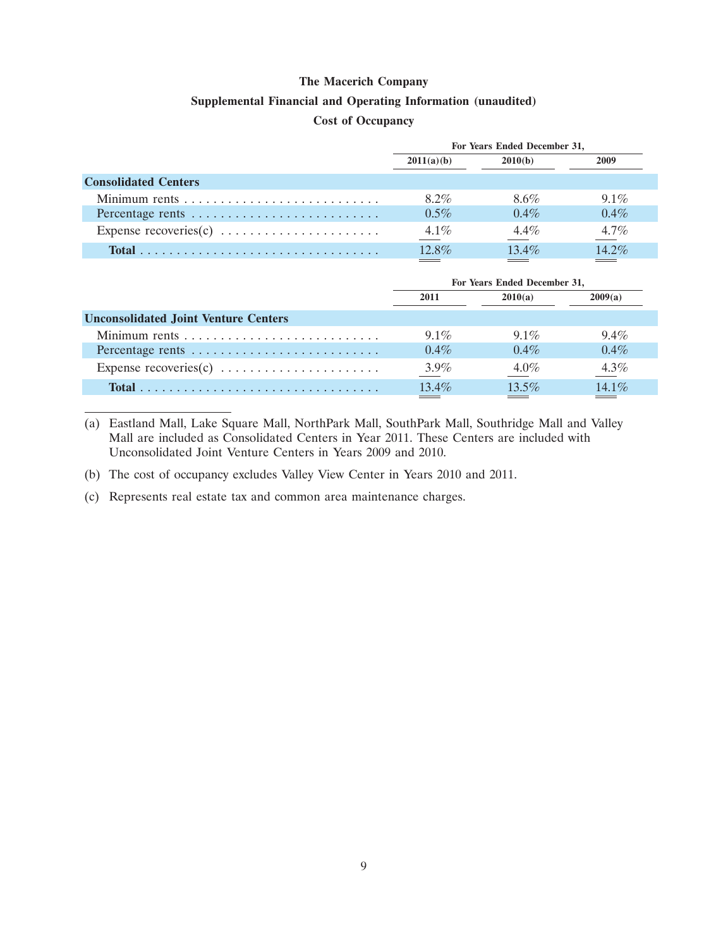### **Supplemental Financial and Operating Information (unaudited)**

### **Cost of Occupancy**

|                             | For Years Ended December 31, |          |          |  |
|-----------------------------|------------------------------|----------|----------|--|
|                             | 2011(a)(b)                   | 2010(b)  | 2009     |  |
| <b>Consolidated Centers</b> |                              |          |          |  |
|                             | $8.2\%$                      | 8.6%     | $9.1\%$  |  |
| Percentage rents            | $0.5\%$                      | $0.4\%$  | $0.4\%$  |  |
|                             | $4.1\%$                      | $4.4\%$  | $4.7\%$  |  |
|                             | $12.8\%$                     | $13.4\%$ | $14.2\%$ |  |

| For Years Ended December 31, |          |         |  |
|------------------------------|----------|---------|--|
| 2011                         | 2010(a)  | 2009(a) |  |
|                              |          |         |  |
| $9.1\%$                      | $91\%$   | $9.4\%$ |  |
| $0.4\%$                      | $0.4\%$  | $0.4\%$ |  |
| $3.9\%$                      | $4.0\%$  | $4.3\%$ |  |
| $13.4\%$                     | $13.5\%$ | 14.1%   |  |
|                              |          |         |  |

(a) Eastland Mall, Lake Square Mall, NorthPark Mall, SouthPark Mall, Southridge Mall and Valley Mall are included as Consolidated Centers in Year 2011. These Centers are included with Unconsolidated Joint Venture Centers in Years 2009 and 2010.

- (b) The cost of occupancy excludes Valley View Center in Years 2010 and 2011.
- (c) Represents real estate tax and common area maintenance charges.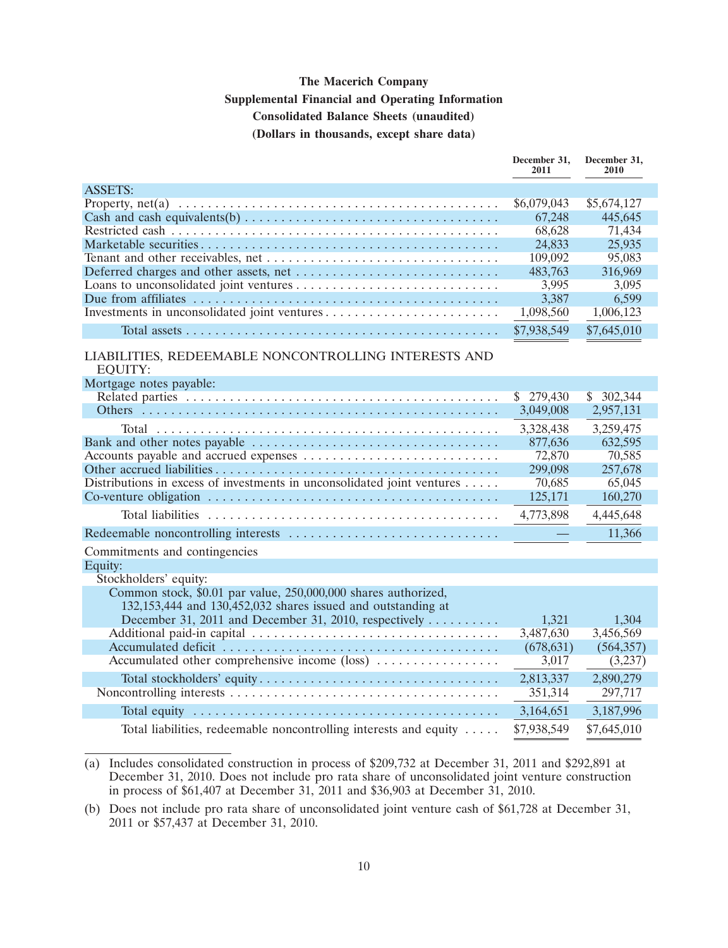## **The Macerich Company Supplemental Financial and Operating Information Consolidated Balance Sheets (unaudited) (Dollars in thousands, except share data)**

|                                                                                                                    | December 31,<br>2011 | December 31,<br>2010 |
|--------------------------------------------------------------------------------------------------------------------|----------------------|----------------------|
| <b>ASSETS:</b>                                                                                                     |                      |                      |
| Property, net(a) $\dots \dots \dots \dots \dots \dots \dots \dots \dots \dots \dots \dots \dots \dots \dots \dots$ | \$6,079,043          | \$5,674,127          |
| Cash and cash equivalents(b) $\dots \dots \dots \dots \dots \dots \dots \dots \dots \dots \dots \dots$             | 67,248               | 445,645              |
|                                                                                                                    | 68,628               | 71,434               |
|                                                                                                                    | 24,833               | 25,935               |
|                                                                                                                    | 109,092              | 95,083               |
|                                                                                                                    | 483,763              | 316,969              |
|                                                                                                                    | 3,995                | 3,095                |
|                                                                                                                    | 3,387                | 6,599                |
|                                                                                                                    | 1,098,560            | 1,006,123            |
|                                                                                                                    | \$7,938,549          | \$7,645,010          |
| LIABILITIES, REDEEMABLE NONCONTROLLING INTERESTS AND<br><b>EQUITY:</b>                                             |                      |                      |
| Mortgage notes payable:                                                                                            |                      |                      |
|                                                                                                                    | \$279,430            | \$302,344            |
|                                                                                                                    | 3,049,008            | 2,957,131            |
|                                                                                                                    | 3,328,438            | 3,259,475            |
|                                                                                                                    | 877,636              | 632,595              |
|                                                                                                                    | 72,870               | 70,585               |
|                                                                                                                    | 299,098              | 257,678              |
| Distributions in excess of investments in unconsolidated joint ventures                                            | 70,685               | 65,045               |
|                                                                                                                    | 125,171              | 160,270              |
|                                                                                                                    | 4,773,898            | 4,445,648            |
|                                                                                                                    |                      | 11,366               |
| Commitments and contingencies                                                                                      |                      |                      |
| Equity:                                                                                                            |                      |                      |
| Stockholders' equity:                                                                                              |                      |                      |
| Common stock, \$0.01 par value, 250,000,000 shares authorized,                                                     |                      |                      |
| 132,153,444 and 130,452,032 shares issued and outstanding at                                                       |                      |                      |
| December 31, 2011 and December 31, 2010, respectively                                                              | 1,321                | 1,304                |
|                                                                                                                    | 3,487,630            | 3,456,569            |
|                                                                                                                    | (678, 631)           | (564, 357)           |
| Accumulated other comprehensive income (loss)                                                                      | 3,017                | (3,237)              |
|                                                                                                                    | 2,813,337            | 2,890,279            |
|                                                                                                                    | 351,314              | 297,717              |
|                                                                                                                    | 3,164,651            | 3,187,996            |
| Total liabilities, redeemable noncontrolling interests and equity                                                  | \$7,938,549          | \$7,645,010          |
|                                                                                                                    |                      |                      |

<sup>(</sup>a) Includes consolidated construction in process of \$209,732 at December 31, 2011 and \$292,891 at December 31, 2010. Does not include pro rata share of unconsolidated joint venture construction in process of \$61,407 at December 31, 2011 and \$36,903 at December 31, 2010.

<sup>(</sup>b) Does not include pro rata share of unconsolidated joint venture cash of \$61,728 at December 31, 2011 or \$57,437 at December 31, 2010.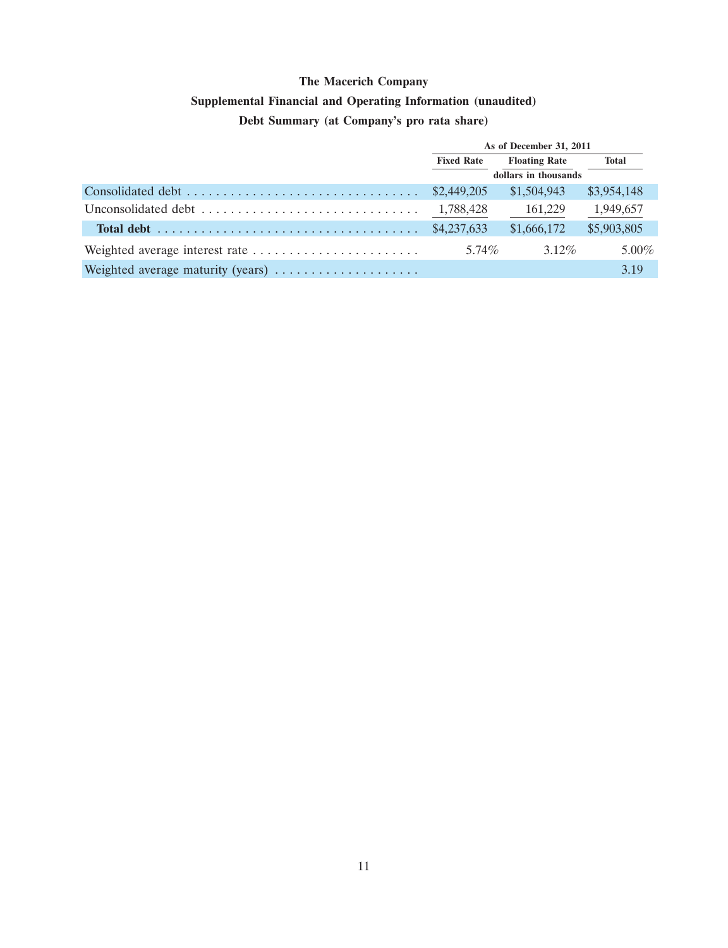## **Supplemental Financial and Operating Information (unaudited)**

## **Debt Summary (at Company's pro rata share)**

|                                   | As of December 31, 2011 |                      |             |
|-----------------------------------|-------------------------|----------------------|-------------|
|                                   | <b>Fixed Rate</b>       | <b>Floating Rate</b> | Total       |
|                                   |                         | dollars in thousands |             |
|                                   |                         | \$1,504,943          | \$3,954,148 |
|                                   | 1,788,428               | 161,229              | 1,949,657   |
|                                   | \$4,237,633             | \$1,666,172          | \$5,903,805 |
|                                   | $5.74\%$                | $3.12\%$             | $5.00\%$    |
| Weighted average maturity (years) |                         |                      | 3.19        |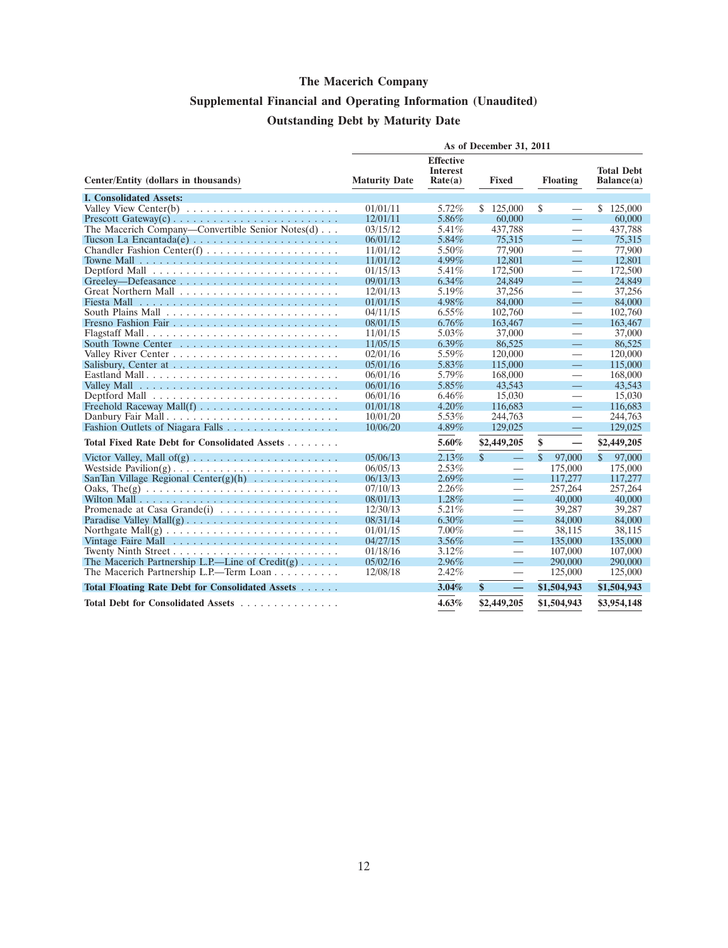# **Supplemental Financial and Operating Information (Unaudited) Outstanding Debt by Maturity Date**

|                                                                               | As of December 31, 2011 |                                                |                                  |                                  |                                 |
|-------------------------------------------------------------------------------|-------------------------|------------------------------------------------|----------------------------------|----------------------------------|---------------------------------|
| Center/Entity (dollars in thousands)                                          | <b>Maturity Date</b>    | <b>Effective</b><br><b>Interest</b><br>Rate(a) | Fixed                            | <b>Floating</b>                  | <b>Total Debt</b><br>Balance(a) |
| <b>I. Consolidated Assets:</b>                                                |                         |                                                |                                  |                                  |                                 |
| Valley View Center(b) $\ldots \ldots \ldots \ldots \ldots \ldots \ldots$      | 01/01/11                | 5.72%                                          | \$125,000                        | \$                               | 125,000<br>\$                   |
|                                                                               | 12/01/11                | 5.86%                                          | 60,000                           | $\equiv$                         | 60,000                          |
| The Macerich Company—Convertible Senior Notes $(d)$                           | 03/15/12                | 5.41%                                          | 437,788                          | $\overline{\phantom{0}}$         | 437,788                         |
|                                                                               | 06/01/12                | 5.84%                                          | 75,315                           | $\equiv$                         | 75,315                          |
|                                                                               | 11/01/12                | 5.50%                                          | 77,900                           |                                  | 77,900                          |
|                                                                               | 11/01/12                | 4.99%                                          | 12,801                           | $\equiv$                         | 12.801                          |
|                                                                               | 01/15/13                | 5.41%                                          | 172,500                          | $\overline{\phantom{0}}$         | 172,500                         |
|                                                                               | 09/01/13                | $6.34\%$                                       | 24,849                           | $\equiv$                         | 24.849                          |
|                                                                               | 12/01/13                | 5.19%                                          | 37,256                           | $\overline{\phantom{0}}$         | 37,256                          |
|                                                                               | 01/01/15                | 4.98%                                          | 84,000                           | $\equiv$                         | 84,000                          |
|                                                                               | 04/11/15                | $6.55\%$                                       | 102,760                          | $\overbrace{\phantom{12322111}}$ | 102,760                         |
|                                                                               | 08/01/15                | $6.76\%$                                       | 163,467                          | $\equiv$                         | 163,467                         |
|                                                                               | 11/01/15                | 5.03%                                          | 37,000                           | $\qquad \qquad$                  | 37,000                          |
|                                                                               | 11/05/15                | $6.39\%$                                       | 86,525                           | $\equiv$                         | 86,525                          |
|                                                                               | 02/01/16                | 5.59%                                          | 120,000                          |                                  | 120,000                         |
|                                                                               | 05/01/16                | 5.83%                                          | 115,000                          | $\equiv$                         | 115,000                         |
| Eastland Mall                                                                 | 06/01/16                | 5.79%                                          | 168,000                          |                                  | 168,000                         |
|                                                                               | 06/01/16                | 5.85%                                          | 43.543                           | $\equiv$                         | 43.543                          |
|                                                                               | 06/01/16                | 6.46%                                          | 15,030                           | $\overline{\phantom{0}}$         | 15,030                          |
|                                                                               | 01/01/18                | $4.20\%$                                       | 116,683                          | $\qquad \qquad -$                | 116,683                         |
| Danbury Fair Mall                                                             | 10/01/20                | 5.53%                                          | 244,763                          |                                  | 244,763                         |
|                                                                               | 10/06/20                | 4.89%                                          | 129,025                          | $\equiv$                         | 129,025                         |
| Total Fixed Rate Debt for Consolidated Assets                                 |                         | 5.60%                                          | \$2,449,205                      | \$<br>$\overline{\phantom{0}}$   | \$2,449,205                     |
|                                                                               | 05/06/13                | 2.13%                                          | \$<br>$\equiv$                   | $\mathcal{S}$<br>97,000          | $\mathbb{S}$<br>97,000          |
|                                                                               | 06/05/13                | 2.53%                                          | $\overbrace{\phantom{aaaaa}}$    | 175,000                          | 175,000                         |
| SanTan Village Regional Center $(g)(h)$                                       | 06/13/13                | 2.69%                                          | $\equiv$                         | 117,277                          | 117,277                         |
| Oaks, The(g) $\ldots \ldots \ldots \ldots \ldots \ldots \ldots \ldots \ldots$ | 07/10/13                | 2.26%                                          |                                  | 257,264                          | 257,264                         |
|                                                                               | 08/01/13                | 1.28%                                          |                                  | 40,000                           | 40,000                          |
| Promenade at Casa Grande(i) $\ldots \ldots \ldots \ldots \ldots$              | 12/30/13                | 5.21%                                          | $\overline{\phantom{0}}$         | 39,287                           | 39,287                          |
|                                                                               | 08/31/14                | $6.30\%$                                       |                                  | 84,000                           | 84,000                          |
| Northgate Mall(g) $\dots \dots \dots \dots \dots \dots \dots \dots \dots$     | 01/01/15                | $7.00\%$                                       | $\overline{\phantom{0}}$         | 38.115                           | 38.115                          |
|                                                                               | 04/27/15                | $3.56\%$                                       | $\equiv$                         | 135,000                          | 135,000                         |
|                                                                               | 01/18/16                | 3.12%                                          | $\overbrace{\phantom{12322111}}$ | 107,000                          | 107,000                         |
| The Macerich Partnership L.P.—Line of $Credit(g) \ldots$ .                    | 05/02/16                | 2.96%                                          | $\equiv$                         | 290,000                          | 290,000                         |
| The Macerich Partnership L.P.—Term Loan                                       | 12/08/18                | 2.42%                                          | $\overline{\phantom{0}}$         | 125,000                          | 125,000                         |
| Total Floating Rate Debt for Consolidated Assets                              |                         | 3.04%                                          | \$<br>$\qquad \qquad -$          | \$1,504,943                      | \$1,504,943                     |
| Total Debt for Consolidated Assets                                            |                         | 4.63%                                          | \$2,449,205                      | \$1,504,943                      | \$3,954,148                     |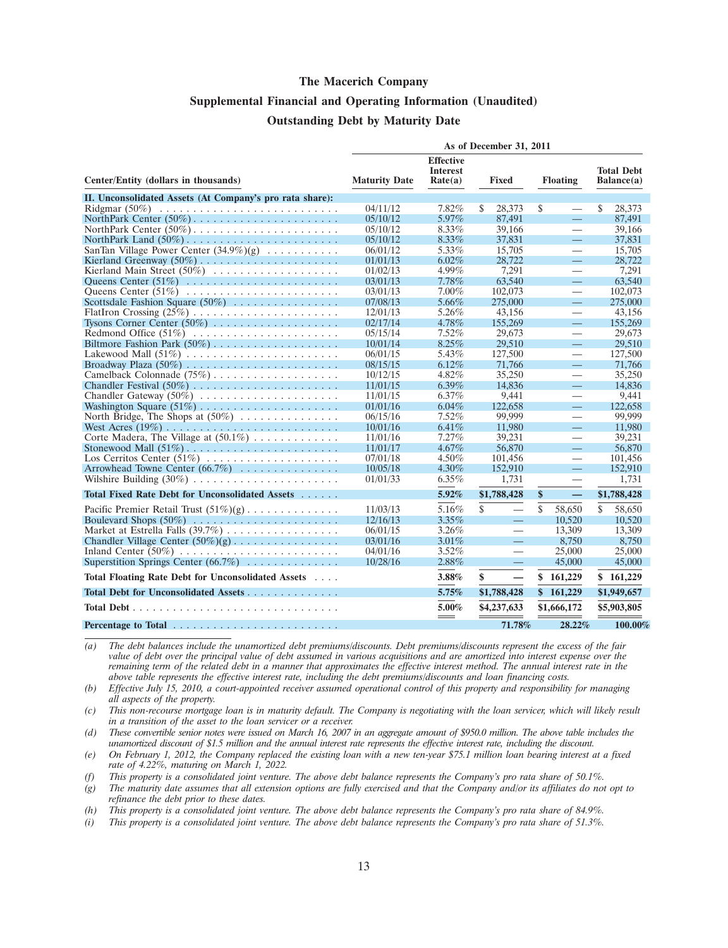### **Supplemental Financial and Operating Information (Unaudited) Outstanding Debt by Maturity Date**

|                                                          | As of December 31, 2011 |                                                |                                |                          |                                 |
|----------------------------------------------------------|-------------------------|------------------------------------------------|--------------------------------|--------------------------|---------------------------------|
| Center/Entity (dollars in thousands)                     | <b>Maturity Date</b>    | <b>Effective</b><br><b>Interest</b><br>Rate(a) | Fixed                          | <b>Floating</b>          | <b>Total Debt</b><br>Balance(a) |
| II. Unconsolidated Assets (At Company's pro rata share): |                         |                                                |                                |                          |                                 |
|                                                          | 04/11/12                | 7.82%                                          | \$<br>28.373                   | \$                       | \$<br>28.373                    |
|                                                          | 05/10/12                | 5.97%                                          | 87,491                         | $\equiv$                 | 87,491                          |
|                                                          | 05/10/12                | 8.33%                                          | 39,166                         |                          | 39,166                          |
|                                                          | 05/10/12                | 8.33%                                          | 37,831                         | $\equiv$                 | 37,831                          |
| SanTan Village Power Center $(34.9\%)(g)$                | 06/01/12                | 5.33%                                          | 15,705                         | $\overline{\phantom{0}}$ | 15,705                          |
|                                                          | 01/01/13                | $6.02\%$                                       | 28,722                         | $\equiv$                 | 28,722                          |
| Kierland Main Street (50%)                               | 01/02/13                | 4.99%                                          | 7,291                          | $\overline{\phantom{0}}$ | 7.291                           |
|                                                          | 03/01/13                | 7.78%                                          | 63,540                         | ═                        | 63,540                          |
|                                                          | 03/01/13                | $7.00\%$                                       | 102,073                        | $\overline{\phantom{0}}$ | 102,073                         |
| Scottsdale Fashion Square $(50\%)$                       | 07/08/13                | 5.66%                                          | 275,000                        | $\overline{\phantom{0}}$ | 275,000                         |
|                                                          | 12/01/13                | 5.26%                                          | 43,156                         |                          | 43.156                          |
| Tysons Corner Center $(50\%)$                            | 02/17/14                | 4.78%                                          | 155,269                        | ═                        | 155,269                         |
|                                                          | 05/15/14                | 7.52%                                          | 29,673                         | $\qquad \qquad$          | 29,673                          |
|                                                          | 10/01/14                | 8.25%                                          | 29,510                         | <u>a i</u>               | 29,510                          |
|                                                          | 06/01/15                | 5.43%                                          | 127,500                        | $\overline{\phantom{0}}$ | 127,500                         |
|                                                          | 08/15/15                | 6.12%                                          | 71,766                         | $\equiv$                 | 71,766                          |
|                                                          | 10/12/15                | $4.82\%$                                       | 35,250                         | $\overline{\phantom{0}}$ | 35,250                          |
|                                                          | 11/01/15                | $6.39\%$                                       | 14,836                         | $\equiv$                 | 14,836                          |
|                                                          | 11/01/15                | $6.37\%$                                       | 9,441                          | $\overline{\phantom{0}}$ | 9.441                           |
|                                                          | 01/01/16                | 6.04%                                          | 122,658                        | ═                        | 122,658                         |
| North Bridge, The Shops at $(50\%)$                      | 06/15/16                | 7.52%                                          | 99,999                         | $\overline{\phantom{0}}$ | 99,999                          |
|                                                          | 10/01/16                | $6.41\%$                                       | 11,980                         | $\equiv$                 | 11,980                          |
| Corte Madera, The Village at $(50.1\%)$                  | 11/01/16                | 7.27%                                          | 39,231                         |                          | 39.231                          |
|                                                          | 11/01/17                | 4.67%                                          | 56,870                         | ═                        | 56,870                          |
| Los Cerritos Center (51%)                                | 07/01/18                | 4.50%                                          | 101,456                        |                          | 101,456                         |
| Arrowhead Towne Center $(66.7\%)$                        | 10/05/18                | 4.30%                                          | 152,910                        | Ξ,                       | 152,910                         |
|                                                          | 01/01/33                | $6.35\%$                                       | 1,731                          |                          | 1,731                           |
| Total Fixed Rate Debt for Unconsolidated Assets          |                         | 5.92%                                          | \$1,788,428                    | \$<br>—                  | \$1,788,428                     |
| Pacific Premier Retail Trust $(51\%)(g)$                 | 11/03/13                | 5.16%                                          | \$<br>$\overline{\phantom{0}}$ | \$<br>58,650             | \$<br>58,650                    |
|                                                          | 12/16/13                | 3.35%                                          | $\equiv$                       | 10,520                   | 10,520                          |
| Market at Estrella Falls (39.7%)                         | 06/01/15                | $3.26\%$                                       | $\overline{\phantom{0}}$       | 13,309                   | 13.309                          |
| Chandler Village Center $(50\%)(g)$                      | 03/01/16                | 3.01%                                          | $\equiv$                       | 8,750                    | 8,750                           |
|                                                          | 04/01/16                | $3.52\%$                                       | $\overline{\phantom{0}}$       | 25,000                   | 25,000                          |
| Superstition Springs Center $(66.7\%)$                   | 10/28/16                | 2.88%                                          | $\equiv$                       | 45,000                   | 45,000                          |
| Total Floating Rate Debt for Unconsolidated Assets       |                         | 3.88%                                          | \$<br>$\overline{\phantom{0}}$ | \$<br>161,229            | \$161,229                       |
| Total Debt for Unconsolidated Assets                     |                         | 5.75%                                          | \$1,788,428                    | \$161,229                | \$1,949,657                     |
|                                                          |                         | 5.00%                                          | \$4,237,633                    | \$1,666,172              | \$5,903,805                     |
| Percentage to Total                                      |                         | $\sim$                                         | 71.78%                         | 28.22%                   | 100.00%                         |

*(a) The debt balances include the unamortized debt premiums/discounts. Debt premiums/discounts represent the excess of the fair value of debt over the principal value of debt assumed in various acquisitions and are amortized into interest expense over the remaining term of the related debt in a manner that approximates the effective interest method. The annual interest rate in the above table represents the effective interest rate, including the debt premiums/discounts and loan financing costs.*

*(b) Effective July 15, 2010, a court-appointed receiver assumed operational control of this property and responsibility for managing all aspects of the property.*

*(c) This non-recourse mortgage loan is in maturity default. The Company is negotiating with the loan servicer, which will likely result in a transition of the asset to the loan servicer or a receiver.*

*(d) These convertible senior notes were issued on March 16, 2007 in an aggregate amount of \$950.0 million. The above table includes the unamortized discount of \$1.5 million and the annual interest rate represents the effective interest rate, including the discount.*

*(e) On February 1, 2012, the Company replaced the existing loan with a new ten-year \$75.1 million loan bearing interest at a fixed rate of 4.22%, maturing on March 1, 2022.*

*(f) This property is a consolidated joint venture. The above debt balance represents the Company's pro rata share of 50.1%.*

*(g) The maturity date assumes that all extension options are fully exercised and that the Company and/or its affiliates do not opt to refinance the debt prior to these dates.*

*(h) This property is a consolidated joint venture. The above debt balance represents the Company's pro rata share of 84.9%.*

*(i) This property is a consolidated joint venture. The above debt balance represents the Company's pro rata share of 51.3%.*